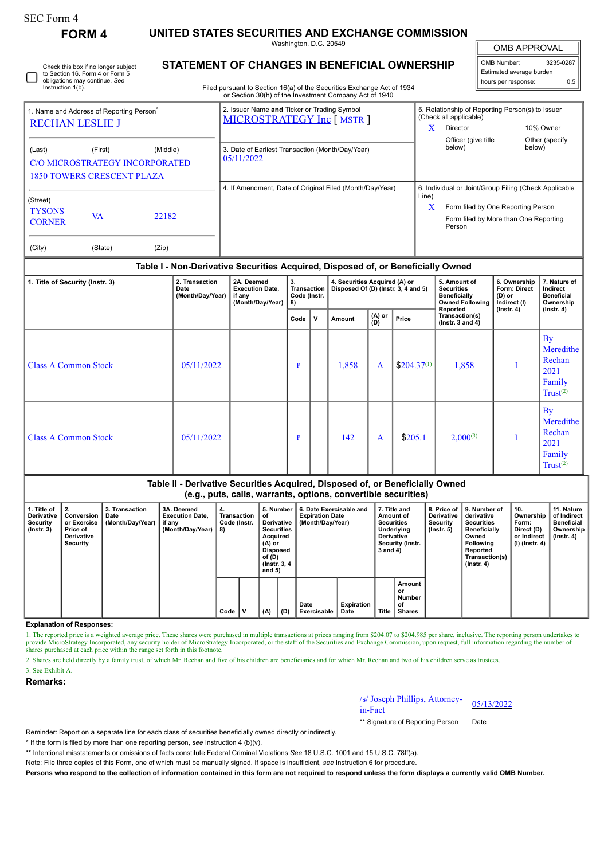| SEC Form 4 |  |
|------------|--|
|------------|--|

Instruction 1(b).

Check this box if no longer subject to Section 16. Form 4 or Form 5 obligations may continue. *See*

**FORM 4 UNITED STATES SECURITIES AND EXCHANGE COMMISSION** Washington, D.C. 20549

**STATEMENT OF CHANGES IN BENEFICIAL OWNERSHIP**

OMB APPROVAL

 $\mathbb{I}$ 

| OMB Number:              | 3235-0287 |  |  |  |  |  |  |
|--------------------------|-----------|--|--|--|--|--|--|
| Estimated average burden |           |  |  |  |  |  |  |
| hours per response:      | 0.5       |  |  |  |  |  |  |

Filed pursuant to Section 16(a) of the Securities Exchange Act of 1934 or Section 30(h) of the Investment Company Act of 1940

|                                                                                                             | 1. Name and Address of Reporting Person <sup>®</sup> |       | 2. Issuer Name and Ticker or Trading Symbol<br>MICROSTRATEGY Inc [ MSTR ] |       | 5. Relationship of Reporting Person(s) to Issuer<br>(Check all applicable)                                                                     |                          |  |  |  |
|-------------------------------------------------------------------------------------------------------------|------------------------------------------------------|-------|---------------------------------------------------------------------------|-------|------------------------------------------------------------------------------------------------------------------------------------------------|--------------------------|--|--|--|
| <b>RECHAN LESLIE J</b>                                                                                      |                                                      |       |                                                                           |       | Director                                                                                                                                       | 10% Owner                |  |  |  |
| (Last)<br>(Middle)<br>(First)<br><b>C/O MICROSTRATEGY INCORPORATED</b><br><b>1850 TOWERS CRESCENT PLAZA</b> |                                                      |       | 3. Date of Earliest Transaction (Month/Day/Year)<br>05/11/2022            |       | Officer (give title<br>below)                                                                                                                  | Other (specify<br>below) |  |  |  |
| (Street)<br><b>TYSONS</b><br><b>CORNER</b>                                                                  | VA                                                   | 22182 | 4. If Amendment, Date of Original Filed (Month/Day/Year)                  | Line) | 6. Individual or Joint/Group Filing (Check Applicable<br>Form filed by One Reporting Person<br>Form filed by More than One Reporting<br>Person |                          |  |  |  |
| (City)                                                                                                      | (State)                                              | (Zip) |                                                                           |       |                                                                                                                                                |                          |  |  |  |

## **Table I - Non-Derivative Securities Acquired, Disposed of, or Beneficially Owned**

|                                 |                                            | .                                                                  |                                         |     |                                                                      |               |                 |                                                                                                |                                                                                     |                                                                                         |
|---------------------------------|--------------------------------------------|--------------------------------------------------------------------|-----------------------------------------|-----|----------------------------------------------------------------------|---------------|-----------------|------------------------------------------------------------------------------------------------|-------------------------------------------------------------------------------------|-----------------------------------------------------------------------------------------|
| 1. Title of Security (Instr. 3) | 2. Transaction<br>Date<br>(Month/Day/Year) | 2A. Deemed<br><b>Execution Date,</b><br>if any<br>(Month/Day/Year) | 3.<br>Transaction<br>Code (Instr.<br>8) |     | 4. Securities Acquired (A) or<br>Disposed Of (D) (Instr. 3, 4 and 5) |               |                 | 5. Amount of<br><b>Securities</b><br><b>Beneficially</b><br><b>Owned Following</b><br>Reported | 6. Ownership<br><b>Form: Direct</b><br>$(D)$ or<br>Indirect (I)<br>$($ Instr. 4 $)$ | 7. Nature of<br>Indirect<br><b>Beneficial</b><br>Ownership<br>(Instr. 4)                |
|                                 |                                            |                                                                    | Code                                    | ، ۷ | Amount                                                               | (A) or<br>(D) | Price           | Transaction(s)<br>$($ lnstr. 3 and 4 $)$                                                       |                                                                                     |                                                                                         |
| Class A Common Stock            | 05/11/2022                                 |                                                                    | P                                       |     | 1,858                                                                | A             | $$204.37^{(1)}$ | 1,858                                                                                          |                                                                                     | $\overline{B}y$<br>Meredithe<br>Rechan<br>2021<br>Family<br>$Trust^{(2)}$               |
| <b>Class A Common Stock</b>     | 05/11/2022                                 |                                                                    | P                                       |     | 142                                                                  | A             | \$205.1         | $2,000^{(3)}$                                                                                  |                                                                                     | $\mathbf{B}\mathbf{v}$<br>Meredithe<br>Rechan<br>2021<br>Family<br>Trust <sup>(2)</sup> |

## **Table II - Derivative Securities Acquired, Disposed of, or Beneficially Owned (e.g., puts, calls, warrants, options, convertible securities)**

| 1. Title of<br><b>Derivative</b><br>Security<br>$($ lnstr. 3 $)$ | 2.<br>Conversion<br>or Exercise<br>Price of<br>Derivative<br>Security | 3. Transaction<br>Date<br>(Month/Day/Year) | 3A. Deemed<br><b>Execution Date.</b><br>if any<br>(Month/Day/Year) | 4.<br>Transaction<br>Code (Instr.<br>8) |  | 5. Number<br>οf<br>Derivative<br><b>Securities</b><br>Acquired<br>$(A)$ or<br><b>Disposed</b><br>of (D)<br>(Instr. 3, 4)<br>and $5)$ |     |                     |                           | 6. Date Exercisable and<br><b>Expiration Date</b><br>(Month/Day/Year) |                                               | 7. Title and<br>Amount of<br><b>Securities</b><br>Underlying<br><b>Derivative</b><br>Security (Instr.<br>$3$ and $4$ ) |  | <b>Derivative</b><br>Security<br>$($ lnstr. 5 $)$ | 8. Price of 19. Number of<br>derivative<br><b>Securities</b><br><b>Beneficially</b><br>Owned<br><b>Following</b><br>Reported<br>Transaction(s)<br>$($ lnstr. 4 $)$ | 10.<br>Ownership<br>Form:<br>Direct (D)<br>or Indirect<br>(I) (Instr. 4) | 11. Nature<br>of Indirect<br><b>Beneficial</b><br>Ownership<br>$($ lnstr. 4 $)$ |
|------------------------------------------------------------------|-----------------------------------------------------------------------|--------------------------------------------|--------------------------------------------------------------------|-----------------------------------------|--|--------------------------------------------------------------------------------------------------------------------------------------|-----|---------------------|---------------------------|-----------------------------------------------------------------------|-----------------------------------------------|------------------------------------------------------------------------------------------------------------------------|--|---------------------------------------------------|--------------------------------------------------------------------------------------------------------------------------------------------------------------------|--------------------------------------------------------------------------|---------------------------------------------------------------------------------|
|                                                                  |                                                                       |                                            |                                                                    | Code                                    |  | (A)                                                                                                                                  | (D) | Date<br>Exercisable | <b>Expiration</b><br>Date | <b>Title</b>                                                          | Amount<br>or<br>Number<br>οf<br><b>Shares</b> |                                                                                                                        |  |                                                   |                                                                                                                                                                    |                                                                          |                                                                                 |

**Explanation of Responses:**

1. The reported price is a weighted average price. These shares were purchased in multiple transactions at prices ranging from \$204.07 to \$204.985 per share, inclusive. The reporting person undertakes to provide MicroStrat shares purchased at each price within the range set forth in this footnote.

2. Shares are held directly by a family trust, of which Mr. Rechan and five of his children are beneficiaries and for which Mr. Rechan and two of his children serve as trustees.

3. See Exhibit A.

**Remarks:**

/s/ Joseph Phillips, Attorney-in-Fact 05/13/2022

\*\* Signature of Reporting Person Date

Reminder: Report on a separate line for each class of securities beneficially owned directly or indirectly.

\* If the form is filed by more than one reporting person, *see* Instruction 4 (b)(v).

\*\* Intentional misstatements or omissions of facts constitute Federal Criminal Violations *See* 18 U.S.C. 1001 and 15 U.S.C. 78ff(a).

Note: File three copies of this Form, one of which must be manually signed. If space is insufficient, *see* Instruction 6 for procedure.

**Persons who respond to the collection of information contained in this form are not required to respond unless the form displays a currently valid OMB Number.**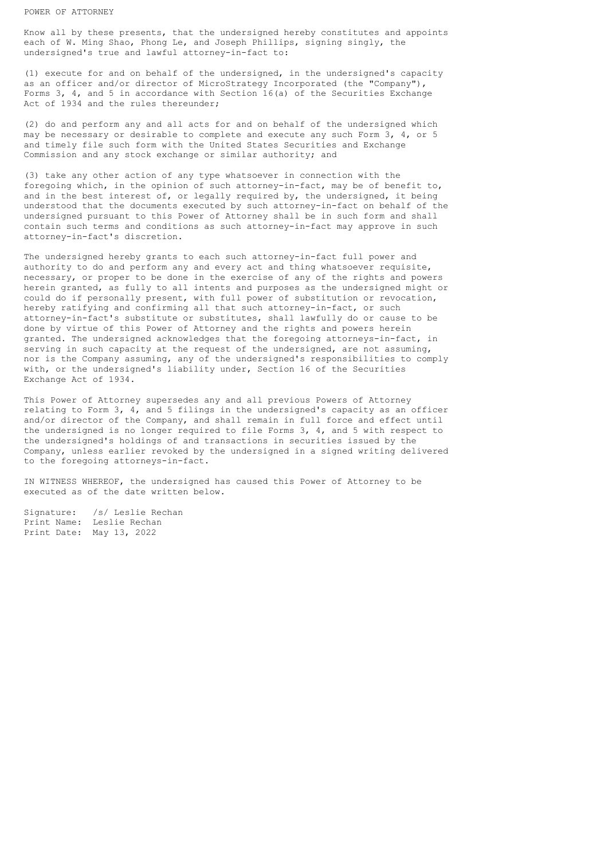Know all by these presents, that the undersigned hereby constitutes and appoints each of W. Ming Shao, Phong Le, and Joseph Phillips, signing singly, the undersigned's true and lawful attorney-in-fact to:

(1) execute for and on behalf of the undersigned, in the undersigned's capacity as an officer and/or director of MicroStrategy Incorporated (the "Company"), Forms 3, 4, and 5 in accordance with Section 16(a) of the Securities Exchange Act of 1934 and the rules thereunder;

(2) do and perform any and all acts for and on behalf of the undersigned which may be necessary or desirable to complete and execute any such Form 3, 4, or 5 and timely file such form with the United States Securities and Exchange Commission and any stock exchange or similar authority; and

(3) take any other action of any type whatsoever in connection with the foregoing which, in the opinion of such attorney-in-fact, may be of benefit to, and in the best interest of, or legally required by, the undersigned, it being understood that the documents executed by such attorney-in-fact on behalf of the undersigned pursuant to this Power of Attorney shall be in such form and shall contain such terms and conditions as such attorney-in-fact may approve in such attorney-in-fact's discretion.

The undersigned hereby grants to each such attorney-in-fact full power and authority to do and perform any and every act and thing whatsoever requisite, necessary, or proper to be done in the exercise of any of the rights and powers herein granted, as fully to all intents and purposes as the undersigned might or could do if personally present, with full power of substitution or revocation, hereby ratifying and confirming all that such attorney-in-fact, or such attorney-in-fact's substitute or substitutes, shall lawfully do or cause to be done by virtue of this Power of Attorney and the rights and powers herein granted. The undersigned acknowledges that the foregoing attorneys-in-fact, in serving in such capacity at the request of the undersigned, are not assuming, nor is the Company assuming, any of the undersigned's responsibilities to comply with, or the undersigned's liability under, Section 16 of the Securities Exchange Act of 1934.

This Power of Attorney supersedes any and all previous Powers of Attorney relating to Form 3, 4, and 5 filings in the undersigned's capacity as an officer and/or director of the Company, and shall remain in full force and effect until the undersigned is no longer required to file Forms 3, 4, and 5 with respect to the undersigned's holdings of and transactions in securities issued by the Company, unless earlier revoked by the undersigned in a signed writing delivered to the foregoing attorneys-in-fact.

IN WITNESS WHEREOF, the undersigned has caused this Power of Attorney to be executed as of the date written below.

Signature: /s/ Leslie Rechan Print Name: Leslie Rechan Print Date: May 13, 2022